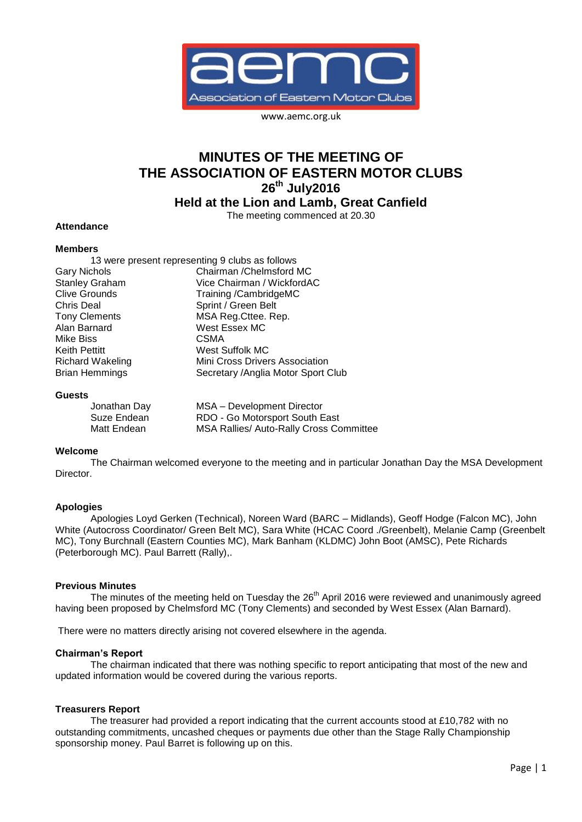

www.aemc.org.uk

# **MINUTES OF THE MEETING OF THE ASSOCIATION OF EASTERN MOTOR CLUBS 26th July2016**

**Held at the Lion and Lamb, Great Canfield**

The meeting commenced at 20.30

## **Attendance**

#### **Members**

|                       | 13 were present representing 9 clubs as follows |
|-----------------------|-------------------------------------------------|
| Gary Nichols          | Chairman / Chelmsford MC                        |
| <b>Stanley Graham</b> | Vice Chairman / WickfordAC                      |
| <b>Clive Grounds</b>  | Training /CambridgeMC                           |
| Chris Deal            | Sprint / Green Belt                             |
| <b>Tony Clements</b>  | MSA Reg.Cttee. Rep.                             |
| Alan Barnard          | West Essex MC                                   |
| Mike Biss             | <b>CSMA</b>                                     |
| Keith Pettitt         | West Suffolk MC                                 |
| Richard Wakeling      | Mini Cross Drivers Association                  |
| <b>Brian Hemmings</b> | Secretary / Anglia Motor Sport Club             |
|                       |                                                 |

#### **Guests**

| Jonathan Day | MSA - Development Director                     |
|--------------|------------------------------------------------|
| Suze Endean  | RDO - Go Motorsport South East                 |
| Matt Endean  | <b>MSA Rallies/ Auto-Rally Cross Committee</b> |

#### **Welcome**

The Chairman welcomed everyone to the meeting and in particular Jonathan Day the MSA Development Director.

#### **Apologies**

Apologies Loyd Gerken (Technical), Noreen Ward (BARC – Midlands), Geoff Hodge (Falcon MC), John White (Autocross Coordinator/ Green Belt MC), Sara White (HCAC Coord ./Greenbelt), Melanie Camp (Greenbelt MC), Tony Burchnall (Eastern Counties MC), Mark Banham (KLDMC) John Boot (AMSC), Pete Richards (Peterborough MC). Paul Barrett (Rally),.

#### **Previous Minutes**

The minutes of the meeting held on Tuesday the 26<sup>th</sup> April 2016 were reviewed and unanimously agreed having been proposed by Chelmsford MC (Tony Clements) and seconded by West Essex (Alan Barnard).

There were no matters directly arising not covered elsewhere in the agenda.

#### **Chairman's Report**

The chairman indicated that there was nothing specific to report anticipating that most of the new and updated information would be covered during the various reports.

#### **Treasurers Report**

The treasurer had provided a report indicating that the current accounts stood at £10,782 with no outstanding commitments, uncashed cheques or payments due other than the Stage Rally Championship sponsorship money. Paul Barret is following up on this.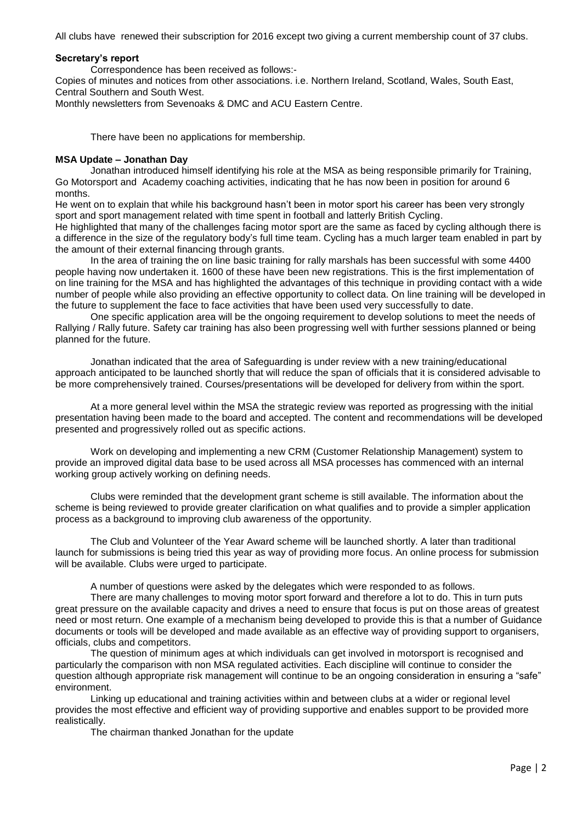All clubs have renewed their subscription for 2016 except two giving a current membership count of 37 clubs.

## **Secretary's report**

Correspondence has been received as follows:-

Copies of minutes and notices from other associations. i.e. Northern Ireland, Scotland, Wales, South East, Central Southern and South West.

Monthly newsletters from Sevenoaks & DMC and ACU Eastern Centre.

There have been no applications for membership.

## **MSA Update – Jonathan Day**

Jonathan introduced himself identifying his role at the MSA as being responsible primarily for Training, Go Motorsport and Academy coaching activities, indicating that he has now been in position for around 6 months.

He went on to explain that while his background hasn't been in motor sport his career has been very strongly sport and sport management related with time spent in football and latterly British Cycling.

He highlighted that many of the challenges facing motor sport are the same as faced by cycling although there is a difference in the size of the regulatory body's full time team. Cycling has a much larger team enabled in part by the amount of their external financing through grants.

In the area of training the on line basic training for rally marshals has been successful with some 4400 people having now undertaken it. 1600 of these have been new registrations. This is the first implementation of on line training for the MSA and has highlighted the advantages of this technique in providing contact with a wide number of people while also providing an effective opportunity to collect data. On line training will be developed in the future to supplement the face to face activities that have been used very successfully to date.

One specific application area will be the ongoing requirement to develop solutions to meet the needs of Rallying / Rally future. Safety car training has also been progressing well with further sessions planned or being planned for the future.

Jonathan indicated that the area of Safeguarding is under review with a new training/educational approach anticipated to be launched shortly that will reduce the span of officials that it is considered advisable to be more comprehensively trained. Courses/presentations will be developed for delivery from within the sport.

At a more general level within the MSA the strategic review was reported as progressing with the initial presentation having been made to the board and accepted. The content and recommendations will be developed presented and progressively rolled out as specific actions.

Work on developing and implementing a new CRM (Customer Relationship Management) system to provide an improved digital data base to be used across all MSA processes has commenced with an internal working group actively working on defining needs.

Clubs were reminded that the development grant scheme is still available. The information about the scheme is being reviewed to provide greater clarification on what qualifies and to provide a simpler application process as a background to improving club awareness of the opportunity.

The Club and Volunteer of the Year Award scheme will be launched shortly. A later than traditional launch for submissions is being tried this year as way of providing more focus. An online process for submission will be available. Clubs were urged to participate.

A number of questions were asked by the delegates which were responded to as follows.

There are many challenges to moving motor sport forward and therefore a lot to do. This in turn puts great pressure on the available capacity and drives a need to ensure that focus is put on those areas of greatest need or most return. One example of a mechanism being developed to provide this is that a number of Guidance documents or tools will be developed and made available as an effective way of providing support to organisers, officials, clubs and competitors.

The question of minimum ages at which individuals can get involved in motorsport is recognised and particularly the comparison with non MSA regulated activities. Each discipline will continue to consider the question although appropriate risk management will continue to be an ongoing consideration in ensuring a "safe" environment.

Linking up educational and training activities within and between clubs at a wider or regional level provides the most effective and efficient way of providing supportive and enables support to be provided more realistically.

The chairman thanked Jonathan for the update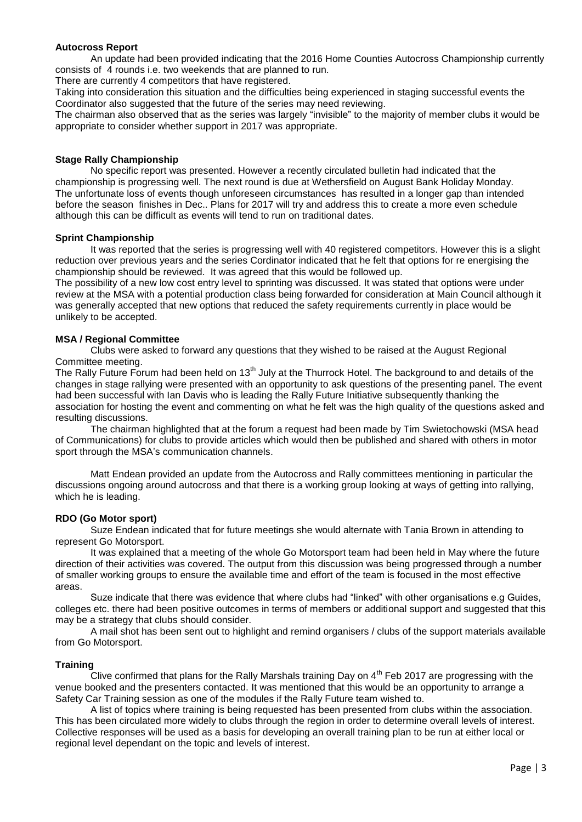#### **Autocross Report**

An update had been provided indicating that the 2016 Home Counties Autocross Championship currently consists of 4 rounds i.e. two weekends that are planned to run.

There are currently 4 competitors that have registered.

Taking into consideration this situation and the difficulties being experienced in staging successful events the Coordinator also suggested that the future of the series may need reviewing.

The chairman also observed that as the series was largely "invisible" to the majority of member clubs it would be appropriate to consider whether support in 2017 was appropriate.

#### **Stage Rally Championship**

No specific report was presented. However a recently circulated bulletin had indicated that the championship is progressing well. The next round is due at Wethersfield on August Bank Holiday Monday. The unfortunate loss of events though unforeseen circumstances has resulted in a longer gap than intended before the season finishes in Dec.. Plans for 2017 will try and address this to create a more even schedule although this can be difficult as events will tend to run on traditional dates.

#### **Sprint Championship**

It was reported that the series is progressing well with 40 registered competitors. However this is a slight reduction over previous years and the series Cordinator indicated that he felt that options for re energising the championship should be reviewed. It was agreed that this would be followed up.

The possibility of a new low cost entry level to sprinting was discussed. It was stated that options were under review at the MSA with a potential production class being forwarded for consideration at Main Council although it was generally accepted that new options that reduced the safety requirements currently in place would be unlikely to be accepted.

## **MSA / Regional Committee**

Clubs were asked to forward any questions that they wished to be raised at the August Regional Committee meeting.

The Rally Future Forum had been held on 13<sup>th</sup> July at the Thurrock Hotel. The background to and details of the changes in stage rallying were presented with an opportunity to ask questions of the presenting panel. The event had been successful with Ian Davis who is leading the Rally Future Initiative subsequently thanking the association for hosting the event and commenting on what he felt was the high quality of the questions asked and resulting discussions.

The chairman highlighted that at the forum a request had been made by Tim Swietochowski (MSA head of Communications) for clubs to provide articles which would then be published and shared with others in motor sport through the MSA's communication channels.

Matt Endean provided an update from the Autocross and Rally committees mentioning in particular the discussions ongoing around autocross and that there is a working group looking at ways of getting into rallying, which he is leading.

## **RDO (Go Motor sport)**

Suze Endean indicated that for future meetings she would alternate with Tania Brown in attending to represent Go Motorsport.

It was explained that a meeting of the whole Go Motorsport team had been held in May where the future direction of their activities was covered. The output from this discussion was being progressed through a number of smaller working groups to ensure the available time and effort of the team is focused in the most effective areas.

Suze indicate that there was evidence that where clubs had "linked" with other organisations e.g Guides, colleges etc. there had been positive outcomes in terms of members or additional support and suggested that this may be a strategy that clubs should consider.

A mail shot has been sent out to highlight and remind organisers / clubs of the support materials available from Go Motorsport.

## **Training**

Clive confirmed that plans for the Rally Marshals training Day on  $4<sup>th</sup>$  Feb 2017 are progressing with the venue booked and the presenters contacted. It was mentioned that this would be an opportunity to arrange a Safety Car Training session as one of the modules if the Rally Future team wished to.

A list of topics where training is being requested has been presented from clubs within the association. This has been circulated more widely to clubs through the region in order to determine overall levels of interest. Collective responses will be used as a basis for developing an overall training plan to be run at either local or regional level dependant on the topic and levels of interest.